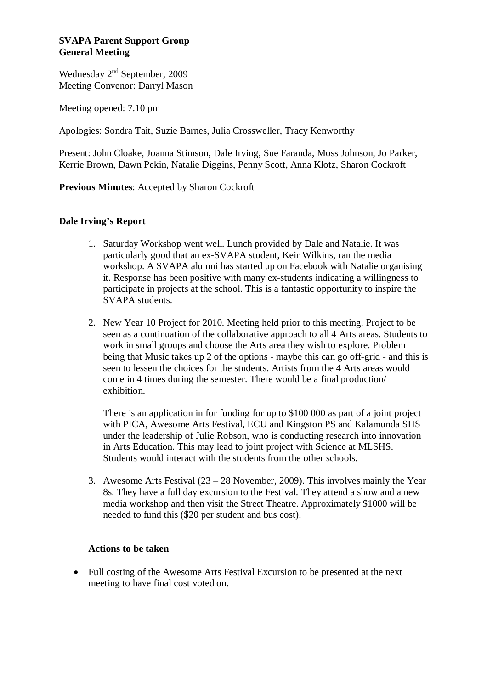# **SVAPA Parent Support Group General Meeting**

Wednesday 2nd September, 2009 Meeting Convenor: Darryl Mason

Meeting opened: 7.10 pm

Apologies: Sondra Tait, Suzie Barnes, Julia Crossweller, Tracy Kenworthy

Present: John Cloake, Joanna Stimson, Dale Irving, Sue Faranda, Moss Johnson, Jo Parker, Kerrie Brown, Dawn Pekin, Natalie Diggins, Penny Scott, Anna Klotz, Sharon Cockroft

**Previous Minutes**: Accepted by Sharon Cockroft

## **Dale Irving's Report**

- 1. Saturday Workshop went well. Lunch provided by Dale and Natalie. It was particularly good that an ex-SVAPA student, Keir Wilkins, ran the media workshop. A SVAPA alumni has started up on Facebook with Natalie organising it. Response has been positive with many ex-students indicating a willingness to participate in projects at the school. This is a fantastic opportunity to inspire the SVAPA students.
- 2. New Year 10 Project for 2010. Meeting held prior to this meeting. Project to be seen as a continuation of the collaborative approach to all 4 Arts areas. Students to work in small groups and choose the Arts area they wish to explore. Problem being that Music takes up 2 of the options - maybe this can go off-grid - and this is seen to lessen the choices for the students. Artists from the 4 Arts areas would come in 4 times during the semester. There would be a final production/ exhibition.

There is an application in for funding for up to \$100 000 as part of a joint project with PICA, Awesome Arts Festival, ECU and Kingston PS and Kalamunda SHS under the leadership of Julie Robson, who is conducting research into innovation in Arts Education. This may lead to joint project with Science at MLSHS. Students would interact with the students from the other schools.

3. Awesome Arts Festival (23 – 28 November, 2009). This involves mainly the Year 8s. They have a full day excursion to the Festival. They attend a show and a new media workshop and then visit the Street Theatre. Approximately \$1000 will be needed to fund this (\$20 per student and bus cost).

### **Actions to be taken**

• Full costing of the Awesome Arts Festival Excursion to be presented at the next meeting to have final cost voted on.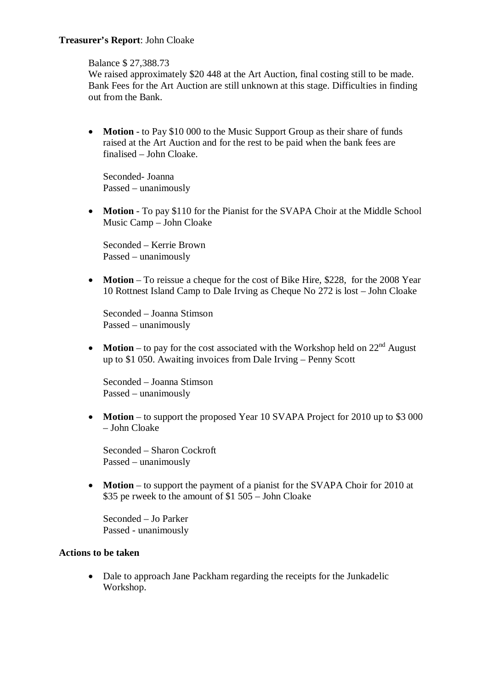### **Treasurer's Report**: John Cloake

### Balance \$ 27,388.73

We raised approximately \$20 448 at the Art Auction, final costing still to be made. Bank Fees for the Art Auction are still unknown at this stage. Difficulties in finding out from the Bank.

• **Motion** - to Pay \$10 000 to the Music Support Group as their share of funds raised at the Art Auction and for the rest to be paid when the bank fees are finalised – John Cloake.

Seconded- Joanna Passed – unanimously

• **Motion** - To pay \$110 for the Pianist for the SVAPA Choir at the Middle School Music Camp – John Cloake

Seconded – Kerrie Brown Passed – unanimously

• **Motion** – To reissue a cheque for the cost of Bike Hire, \$228, for the 2008 Year 10 Rottnest Island Camp to Dale Irving as Cheque No 272 is lost – John Cloake

Seconded – Joanna Stimson Passed – unanimously

• **Motion** – to pay for the cost associated with the Workshop held on  $22<sup>nd</sup>$  August up to \$1 050. Awaiting invoices from Dale Irving – Penny Scott

Seconded – Joanna Stimson Passed – unanimously

• **Motion** – to support the proposed Year 10 SVAPA Project for 2010 up to \$3 000 – John Cloake

Seconded – Sharon Cockroft Passed – unanimously

• **Motion** – to support the payment of a pianist for the SVAPA Choir for 2010 at \$35 pe rweek to the amount of \$1 505 – John Cloake

Seconded – Jo Parker Passed - unanimously

### **Actions to be taken**

• Dale to approach Jane Packham regarding the receipts for the Junkadelic Workshop.